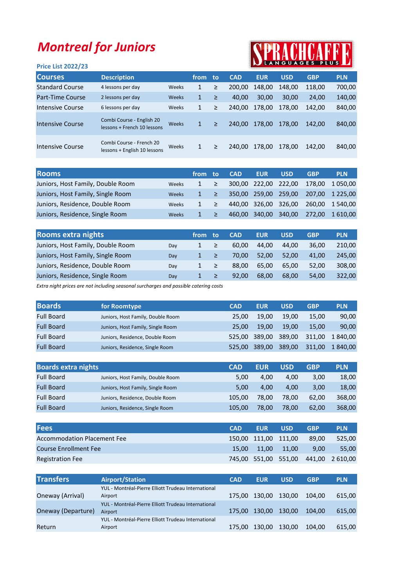## Montreal for Juniors

## SPRACHCAFF

| <b>Price List 2022/23</b> |                                                          |       |              |        |            |            |            | IN LANGUAGES PLUS IN |            |
|---------------------------|----------------------------------------------------------|-------|--------------|--------|------------|------------|------------|----------------------|------------|
| <b>Courses</b>            | <b>Description</b>                                       |       | from         | to     | <b>CAD</b> | <b>EUR</b> | <b>USD</b> | <b>GBP</b>           | <b>PLN</b> |
| <b>Standard Course</b>    | 4 lessons per day                                        | Weeks | 1            | ≥      | 200,00     | 148,00     | 148,00     | 118,00               | 700,00     |
| Part-Time Course          | 2 lessons per day                                        | Weeks | 1            | $\geq$ | 40.00      | 30,00      | 30,00      | 24,00                | 140,00     |
| Intensive Course          | 6 lessons per day                                        | Weeks | 1            | $\geq$ | 240.00     | 178,00     | 178.00     | 142.00               | 840,00     |
| <b>Intensive Course</b>   | Combi Course - English 20<br>lessons + French 10 lessons | Weeks | 1            | ≥      | 240.00     | 178.00     | 178.00     | 142.00               | 840,00     |
| <b>Intensive Course</b>   | Combi Course - French 20<br>lessons + English 10 lessons | Weeks | $\mathbf{1}$ | >      | 240.00     | 178,00     | 178,00     | 142.00               | 840,00     |

| <b>Rooms</b>                      |              | from | ⊤to: | <b>CAD</b> | <b>EUR</b>           | <b>USD</b> | <b>GBP</b> | <b>PLN</b>      |
|-----------------------------------|--------------|------|------|------------|----------------------|------------|------------|-----------------|
| Juniors, Host Family, Double Room | Weeks        |      |      |            | 300,00 222,00 222,00 |            | 178.00     | 1 050.00        |
| Juniors, Host Family, Single Room | <b>Weeks</b> |      |      |            | 350.00 259.00 259.00 |            |            | 207,00 1 225,00 |
| Juniors, Residence, Double Room   | Weeks        |      | ≥    |            | 440,00 326,00 326,00 |            |            | 260.00 1 540.00 |
| Juniors, Residence, Single Room   | <b>Weeks</b> |      |      | 460,00     | 340,00               | 340,00     | 272.00     | 1 610.00        |

| <b>Rooms extra nights</b>         |     | from | to | <b>CAD</b> | <b>EUR</b> | <b>USD</b> | <b>GBP</b> | <b>PLN</b> |
|-----------------------------------|-----|------|----|------------|------------|------------|------------|------------|
| Juniors, Host Family, Double Room | Day |      | ≥  | 60.00      | 44.00      | 44.00      | 36.00      | 210,00     |
| Juniors, Host Family, Single Room | Day |      | ≥  | 70.00      | 52,00      | 52.00      | 41.00      | 245,00     |
| Juniors, Residence, Double Room   | Day |      | ≥  | 88.00      | 65.00      | 65.00      | 52.00      | 308,00     |
| Juniors, Residence, Single Room   | Dav |      |    | 92.00      | 68.00      | 68.00      | 54.00      | 322,00     |

Extra night prices are not including seasonal surcharges and possible catering costs

| <b>Boards</b>     | for Roomtype                      | <b>CAD</b> | <b>EUR</b>    | <b>USD</b> | <b>GBP</b> | <b>PLN</b> |
|-------------------|-----------------------------------|------------|---------------|------------|------------|------------|
| <b>Full Board</b> | Juniors, Host Family, Double Room | 25.00      | 19.00         | 19.00      | 15.00      | 90,00      |
| <b>Full Board</b> | Juniors, Host Family, Single Room | 25.00      | 19.00         | 19.00      | 15.00      | 90,00      |
| <b>Full Board</b> | Juniors, Residence, Double Room   |            | 525.00 389.00 | 389.00     | 311.00     | 1 840.00   |
| <b>Full Board</b> | Juniors, Residence, Single Room   | 525.00     | 389,00        | 389.00     | 311,00     | 1840.00    |

| <b>Boards extra nights</b> |                                   | <b>CAD</b> | <b>EUR</b> | <b>USD</b> | <b>GBP</b> | <b>PLN</b> |
|----------------------------|-----------------------------------|------------|------------|------------|------------|------------|
| <b>Full Board</b>          | Juniors, Host Family, Double Room | 5.00       | 4.00       | 4.00       | 3,00       | 18,00      |
| <b>Full Board</b>          | Juniors, Host Family, Single Room | 5.00       | 4.00       | 4.00       | 3.00       | 18,00      |
| <b>Full Board</b>          | Juniors, Residence, Double Room   | 105.00     | 78.00      | 78.00      | 62.00      | 368,00     |
| <b>Full Board</b>          | Juniors, Residence, Single Room   | 105.00     | 78.00      | 78.00      | 62.00      | 368,00     |

| <b>Fees</b>                        | <b>CAD</b> | <b>EUR</b>           | <b>USD</b> | <b>GBP</b> | <b>PLN</b>                          |
|------------------------------------|------------|----------------------|------------|------------|-------------------------------------|
| <b>Accommodation Placement Fee</b> |            | 150,00 111,00 111,00 |            | 89.00      | 525.00                              |
| <b>Course Enrollment Fee</b>       |            | 15.00 11.00 11.00    |            | 9.00       | 55.00                               |
| <b>Registration Fee</b>            |            |                      |            |            | 745,00 551,00 551,00 441,00 2610,00 |

| <b>Transfers</b>   | <b>Airport/Station</b>                              | <b>CAD</b> | <b>EUR</b>           | <b>USD</b> | <b>GBP</b> | <b>PLN</b> |
|--------------------|-----------------------------------------------------|------------|----------------------|------------|------------|------------|
|                    | YUL - Montréal-Pierre Elliott Trudeau International |            |                      |            |            |            |
| Oneway (Arrival)   | Airport                                             |            | 175,00 130,00 130,00 |            | 104.00     | 615,00     |
|                    | YUL - Montréal-Pierre Elliott Trudeau International |            |                      |            |            |            |
| Oneway (Departure) | <b>Airport</b>                                      |            | 175,00 130,00 130,00 |            | 104.00     | 615.00     |
|                    | YUL - Montréal-Pierre Elliott Trudeau International |            |                      |            |            |            |
| Return             | Airport                                             |            | 175,00 130,00        | 130,00     | 104.00     | 615,00     |